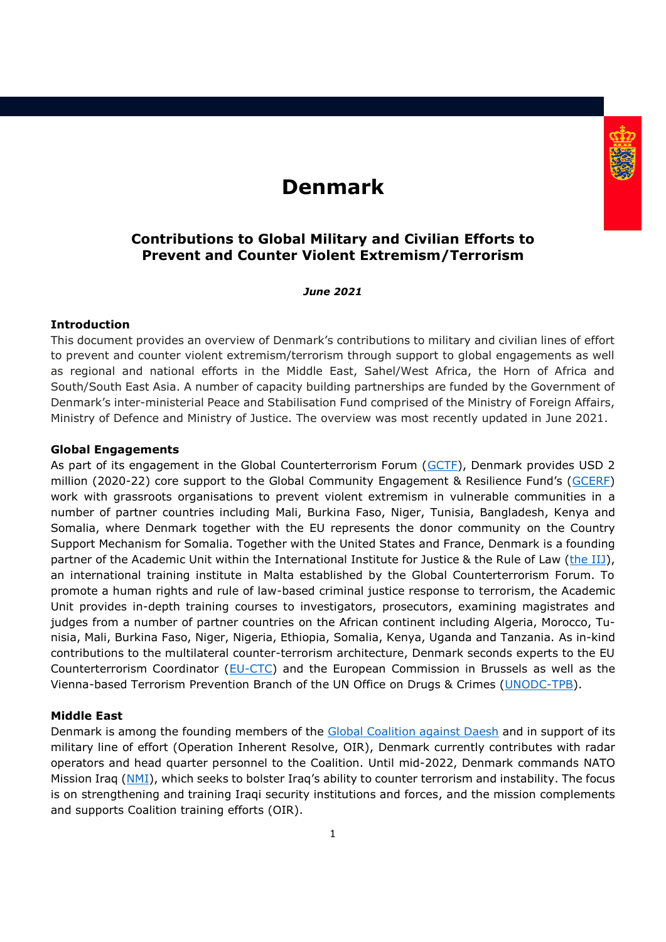# **Denmark**



*June 2021*

# **Introduction**

This document provides an overview of Denmark's contributions to military and civilian lines of effort to prevent and counter violent extremism/terrorism through support to global engagements as well as regional and national efforts in the Middle East, Sahel/West Africa, the Horn of Africa and South/South East Asia. A number of capacity building partnerships are funded by the Government of Denmark's inter-ministerial Peace and Stabilisation Fund comprised of the Ministry of Foreign Affairs, Ministry of Defence and Ministry of Justice. The overview was most recently updated in June 2021.

### **Global Engagements**

As part of its engagement in the Global Counterterrorism Forum [\(GCTF\)](https://www.thegctf.org/), Denmark provides USD 2 million (2020-22) core support to the Global Community Engagement & Resilience Fund's (GCERE) work with grassroots organisations to prevent violent extremism in vulnerable communities in a number of partner countries including Mali, Burkina Faso, Niger, Tunisia, Bangladesh, Kenya and Somalia, where Denmark together with the EU represents the donor community on the Country Support Mechanism for Somalia. Together with the United States and France, Denmark is a founding partner of the Academic Unit within the International Institute for Justice & the Rule of Law [\(the IIJ\)](https://theiij.org/), an international training institute in Malta established by the Global Counterterrorism Forum. To promote a human rights and rule of law-based criminal justice response to terrorism, the Academic Unit provides in-depth training courses to investigators, prosecutors, examining magistrates and judges from a number of partner countries on the African continent including Algeria, Morocco, Tunisia, Mali, Burkina Faso, Niger, Nigeria, Ethiopia, Somalia, Kenya, Uganda and Tanzania. As in-kind contributions to the multilateral counter-terrorism architecture, Denmark seconds experts to the EU Counterterrorism Coordinator [\(EU-CTC\)](https://www.consilium.europa.eu/en/policies/fight-against-terrorism/counter-terrorism-coordinator/) and the European Commission in Brussels as well as the Vienna-based Terrorism Prevention Branch of the UN Office on Drugs & Crimes [\(UNODC-TPB\)](https://www.unodc.org/unodc/en/terrorism/index.html).

# **Middle East**

Denmark is among the founding members of the [Global Coalition against Daesh](https://theglobalcoalition.org/en/) and in support of its military line of effort (Operation Inherent Resolve, OIR), Denmark currently contributes with radar operators and head quarter personnel to the Coalition. Until mid-2022, Denmark commands NATO Mission Iraq [\(NMI](https://jfcnaples.nato.int/nmi)), which seeks to bolster Iraq's ability to counter terrorism and instability. The focus is on strengthening and training Iraqi security institutions and forces, and the mission complements and supports Coalition training efforts (OIR).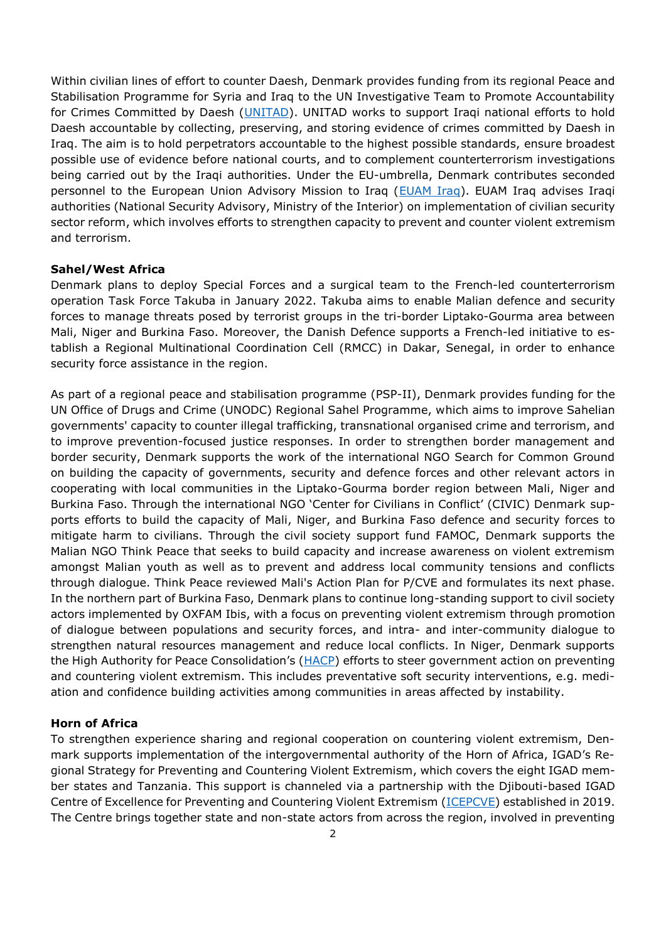Within civilian lines of effort to counter Daesh, Denmark provides funding from its regional Peace and Stabilisation Programme for Syria and Iraq to the UN Investigative Team to Promote Accountability for Crimes Committed by Daesh [\(UNITAD\)](https://www.unitad.un.org/). UNITAD works to support Iraqi national efforts to hold Daesh accountable by collecting, preserving, and storing evidence of crimes committed by Daesh in Iraq. The aim is to hold perpetrators accountable to the highest possible standards, ensure broadest possible use of evidence before national courts, and to complement counterterrorism investigations being carried out by the Iraqi authorities. Under the EU-umbrella, Denmark contributes seconded personnel to the European Union Advisory Mission to Iraq [\(EUAM Iraq\)](https://eeas.europa.eu/csdp-missions-operations/euam-iraq_en). EUAM Iraq advises Iraqi authorities (National Security Advisory, Ministry of the Interior) on implementation of civilian security sector reform, which involves efforts to strengthen capacity to prevent and counter violent extremism and terrorism.

### **Sahel/West Africa**

Denmark plans to deploy Special Forces and a surgical team to the French-led counterterrorism operation Task Force Takuba in January 2022. Takuba aims to enable Malian defence and security forces to manage threats posed by terrorist groups in the tri-border Liptako-Gourma area between Mali, Niger and Burkina Faso. Moreover, the Danish Defence supports a French-led initiative to establish a Regional Multinational Coordination Cell (RMCC) in Dakar, Senegal, in order to enhance security force assistance in the region.

As part of a regional peace and stabilisation programme (PSP-II), Denmark provides funding for the UN Office of Drugs and Crime (UNODC) Regional Sahel Programme, which aims to improve Sahelian governments' capacity to counter illegal trafficking, transnational organised crime and terrorism, and to improve prevention-focused justice responses. In order to strengthen border management and border security, Denmark supports the work of the international NGO Search for Common Ground on building the capacity of governments, security and defence forces and other relevant actors in cooperating with local communities in the Liptako-Gourma border region between Mali, Niger and Burkina Faso. Through the international NGO 'Center for Civilians in Conflict' (CIVIC) Denmark supports efforts to build the capacity of Mali, Niger, and Burkina Faso defence and security forces to mitigate harm to civilians. Through the civil society support fund FAMOC, Denmark supports the Malian NGO Think Peace that seeks to build capacity and increase awareness on violent extremism amongst Malian youth as well as to prevent and address local community tensions and conflicts through dialogue. Think Peace reviewed Mali's Action Plan for P/CVE and formulates its next phase. In the northern part of Burkina Faso, Denmark plans to continue long-standing support to civil society actors implemented by OXFAM Ibis, with a focus on preventing violent extremism through promotion of dialogue between populations and security forces, and intra- and inter-community dialogue to strengthen natural resources management and reduce local conflicts. In Niger, Denmark supports the High Authority for Peace Consolidation's ([HACP\)](http://www.hacp-niger.org/) efforts to steer government action on preventing and countering violent extremism. This includes preventative soft security interventions, e.g. mediation and confidence building activities among communities in areas affected by instability.

# **Horn of Africa**

To strengthen experience sharing and regional cooperation on countering violent extremism, Denmark supports implementation of the intergovernmental authority of the Horn of Africa, IGAD's Regional Strategy for Preventing and Countering Violent Extremism, which covers the eight IGAD member states and Tanzania. This support is channeled via a partnership with the Djibouti-based IGAD Centre of Excellence for Preventing and Countering Violent Extremism [\(ICEPCVE\)](https://cve.igad.int/) established in 2019. The Centre brings together state and non-state actors from across the region, involved in preventing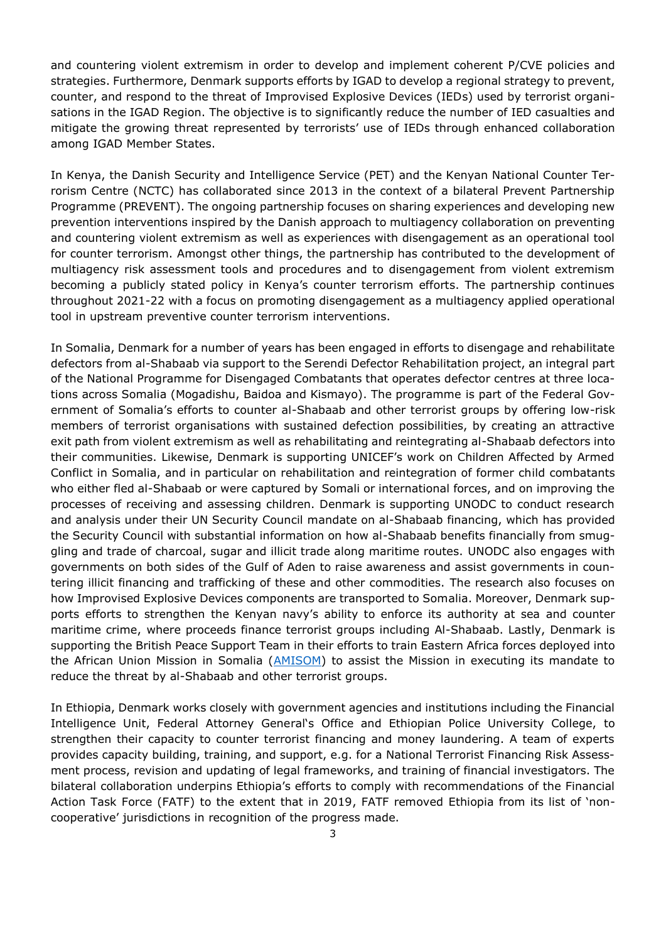and countering violent extremism in order to develop and implement coherent P/CVE policies and strategies. Furthermore, Denmark supports efforts by IGAD to develop a regional strategy to prevent, counter, and respond to the threat of Improvised Explosive Devices (IEDs) used by terrorist organisations in the IGAD Region. The objective is to significantly reduce the number of IED casualties and mitigate the growing threat represented by terrorists' use of IEDs through enhanced collaboration among IGAD Member States.

In Kenya, the Danish Security and Intelligence Service (PET) and the Kenyan National Counter Terrorism Centre (NCTC) has collaborated since 2013 in the context of a bilateral Prevent Partnership Programme (PREVENT). The ongoing partnership focuses on sharing experiences and developing new prevention interventions inspired by the Danish approach to multiagency collaboration on preventing and countering violent extremism as well as experiences with disengagement as an operational tool for counter terrorism. Amongst other things, the partnership has contributed to the development of multiagency risk assessment tools and procedures and to disengagement from violent extremism becoming a publicly stated policy in Kenya's counter terrorism efforts. The partnership continues throughout 2021-22 with a focus on promoting disengagement as a multiagency applied operational tool in upstream preventive counter terrorism interventions.

In Somalia, Denmark for a number of years has been engaged in efforts to disengage and rehabilitate defectors from al-Shabaab via support to the Serendi Defector Rehabilitation project, an integral part of the National Programme for Disengaged Combatants that operates defector centres at three locations across Somalia (Mogadishu, Baidoa and Kismayo). The programme is part of the Federal Government of Somalia's efforts to counter al-Shabaab and other terrorist groups by offering low-risk members of terrorist organisations with sustained defection possibilities, by creating an attractive exit path from violent extremism as well as rehabilitating and reintegrating al-Shabaab defectors into their communities. Likewise, Denmark is supporting UNICEF's work on Children Affected by Armed Conflict in Somalia, and in particular on rehabilitation and reintegration of former child combatants who either fled al-Shabaab or were captured by Somali or international forces, and on improving the processes of receiving and assessing children. Denmark is supporting UNODC to conduct research and analysis under their UN Security Council mandate on al-Shabaab financing, which has provided the Security Council with substantial information on how al-Shabaab benefits financially from smuggling and trade of charcoal, sugar and illicit trade along maritime routes. UNODC also engages with governments on both sides of the Gulf of Aden to raise awareness and assist governments in countering illicit financing and trafficking of these and other commodities. The research also focuses on how Improvised Explosive Devices components are transported to Somalia. Moreover, Denmark supports efforts to strengthen the Kenyan navy's ability to enforce its authority at sea and counter maritime crime, where proceeds finance terrorist groups including Al-Shabaab. Lastly, Denmark is supporting the British Peace Support Team in their efforts to train Eastern Africa forces deployed into the African Union Mission in Somalia [\(AMISOM\)](https://amisom-au.org/) to assist the Mission in executing its mandate to reduce the threat by al-Shabaab and other terrorist groups.

In Ethiopia, Denmark works closely with government agencies and institutions including the Financial Intelligence Unit, Federal Attorney General's Office and Ethiopian Police University College, to strengthen their capacity to counter terrorist financing and money laundering. A team of experts provides capacity building, training, and support, e.g. for a National Terrorist Financing Risk Assessment process, revision and updating of legal frameworks, and training of financial investigators. The bilateral collaboration underpins Ethiopia's efforts to comply with recommendations of the Financial Action Task Force (FATF) to the extent that in 2019, FATF removed Ethiopia from its list of 'noncooperative' jurisdictions in recognition of the progress made.